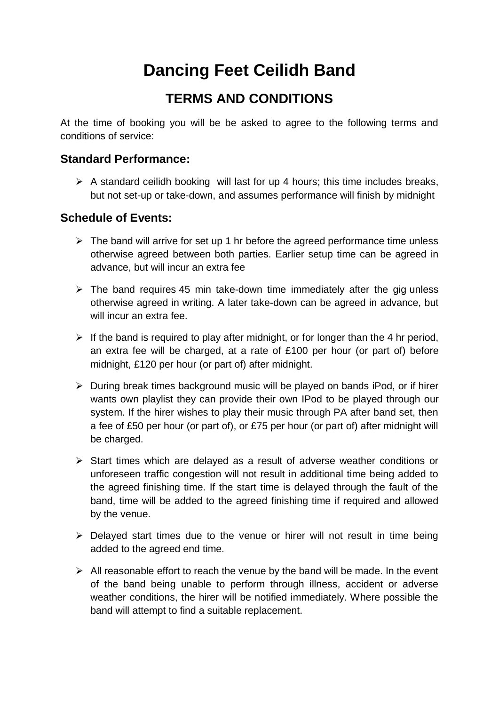# **Dancing Feet Ceilidh Band**

# **TERMS AND CONDITIONS**

At the time of booking you will be be asked to agree to the following terms and conditions of service:

#### **Standard Performance:**

 $\triangleright$  A standard ceilidh booking will last for up 4 hours; this time includes breaks, but not set-up or take-down, and assumes performance will finish by midnight

#### **Schedule of Events:**

- $\triangleright$  The band will arrive for set up 1 hr before the agreed performance time unless otherwise agreed between both parties. Earlier setup time can be agreed in advance, but will incur an extra fee
- $\triangleright$  The band requires 45 min take-down time immediately after the gig unless otherwise agreed in writing. A later take-down can be agreed in advance, but will incur an extra fee.
- $\triangleright$  If the band is required to play after midnight, or for longer than the 4 hr period, an extra fee will be charged, at a rate of £100 per hour (or part of) before midnight, £120 per hour (or part of) after midnight.
- $\triangleright$  During break times background music will be played on bands iPod, or if hirer wants own playlist they can provide their own IPod to be played through our system. If the hirer wishes to play their music through PA after band set, then a fee of £50 per hour (or part of), or £75 per hour (or part of) after midnight will be charged.
- $\triangleright$  Start times which are delayed as a result of adverse weather conditions or unforeseen traffic congestion will not result in additional time being added to the agreed finishing time. If the start time is delayed through the fault of the band, time will be added to the agreed finishing time if required and allowed by the venue.
- $\triangleright$  Delayed start times due to the venue or hirer will not result in time being added to the agreed end time.
- $\triangleright$  All reasonable effort to reach the venue by the band will be made. In the event of the band being unable to perform through illness, accident or adverse weather conditions, the hirer will be notified immediately. Where possible the band will attempt to find a suitable replacement.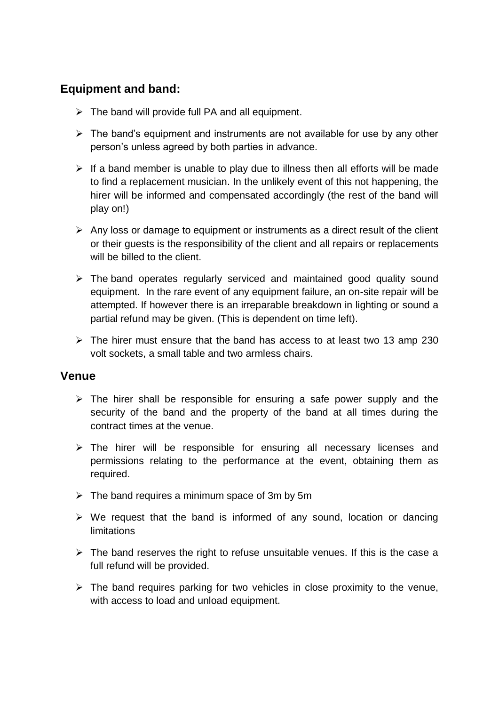# **Equipment and band:**

- $\triangleright$  The band will provide full PA and all equipment.
- $\triangleright$  The band's equipment and instruments are not available for use by any other person's unless agreed by both parties in advance.
- $\triangleright$  If a band member is unable to play due to illness then all efforts will be made to find a replacement musician. In the unlikely event of this not happening, the hirer will be informed and compensated accordingly (the rest of the band will play on!)
- $\triangleright$  Any loss or damage to equipment or instruments as a direct result of the client or their guests is the responsibility of the client and all repairs or replacements will be billed to the client.
- $\triangleright$  The band operates regularly serviced and maintained good quality sound equipment. In the rare event of any equipment failure, an on-site repair will be attempted. If however there is an irreparable breakdown in lighting or sound a partial refund may be given. (This is dependent on time left).
- $\triangleright$  The hirer must ensure that the band has access to at least two 13 amp 230 volt sockets, a small table and two armless chairs.

#### **Venue**

- $\triangleright$  The hirer shall be responsible for ensuring a safe power supply and the security of the band and the property of the band at all times during the contract times at the venue.
- $\triangleright$  The hirer will be responsible for ensuring all necessary licenses and permissions relating to the performance at the event, obtaining them as required.
- $\triangleright$  The band requires a minimum space of 3m by 5m
- $\triangleright$  We request that the band is informed of any sound, location or dancing limitations
- $\triangleright$  The band reserves the right to refuse unsuitable venues. If this is the case a full refund will be provided.
- $\triangleright$  The band requires parking for two vehicles in close proximity to the venue, with access to load and unload equipment.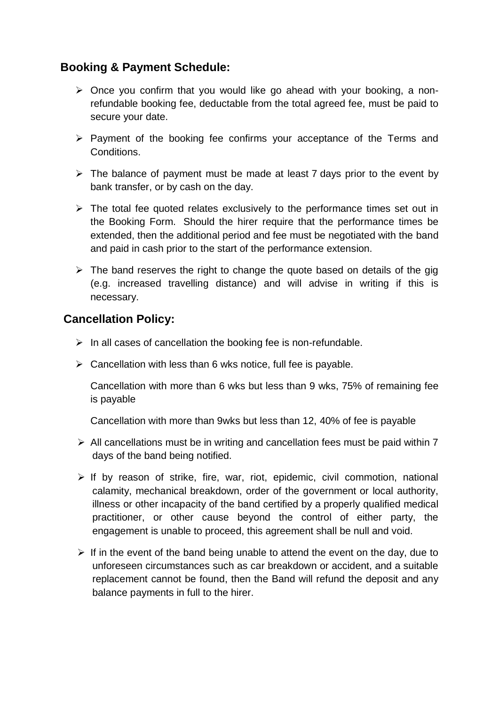## **Booking & Payment Schedule:**

- $\triangleright$  Once you confirm that you would like go ahead with your booking, a nonrefundable booking fee, deductable from the total agreed fee, must be paid to secure your date.
- $\triangleright$  Payment of the booking fee confirms your acceptance of the Terms and Conditions.
- $\triangleright$  The balance of payment must be made at least 7 days prior to the event by bank transfer, or by cash on the day.
- $\triangleright$  The total fee quoted relates exclusively to the performance times set out in the Booking Form. Should the hirer require that the performance times be extended, then the additional period and fee must be negotiated with the band and paid in cash prior to the start of the performance extension.
- $\triangleright$  The band reserves the right to change the quote based on details of the gig (e.g. increased travelling distance) and will advise in writing if this is necessary.

## **Cancellation Policy:**

- $\triangleright$  In all cases of cancellation the booking fee is non-refundable.
- $\triangleright$  Cancellation with less than 6 wks notice, full fee is payable.

Cancellation with more than 6 wks but less than 9 wks, 75% of remaining fee is payable

Cancellation with more than 9wks but less than 12, 40% of fee is payable

- $\triangleright$  All cancellations must be in writing and cancellation fees must be paid within 7 days of the band being notified.
- $\triangleright$  If by reason of strike, fire, war, riot, epidemic, civil commotion, national calamity, mechanical breakdown, order of the government or local authority, illness or other incapacity of the band certified by a properly qualified medical practitioner, or other cause beyond the control of either party, the engagement is unable to proceed, this agreement shall be null and void.
- $\triangleright$  If in the event of the band being unable to attend the event on the day, due to unforeseen circumstances such as car breakdown or accident, and a suitable replacement cannot be found, then the Band will refund the deposit and any balance payments in full to the hirer.